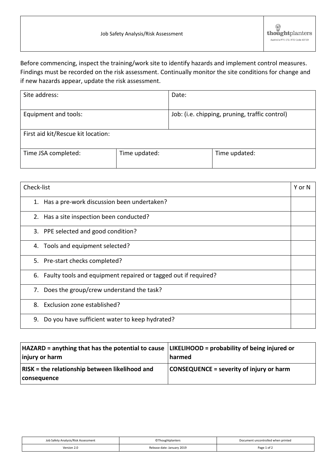## Before commencing, inspect the training/work site to identify hazards and implement control measures. Findings must be recorded on the risk assessment. Continually monitor the site conditions for change and if new hazards appear, update the risk assessment.

| Site address:                      |               | Date:                                          |               |
|------------------------------------|---------------|------------------------------------------------|---------------|
| Equipment and tools:               |               | Job: (i.e. chipping, pruning, traffic control) |               |
| First aid kit/Rescue kit location: |               |                                                |               |
| Time JSA completed:                | Time updated: |                                                | Time updated: |

| Check-list                                                        | Y or N |
|-------------------------------------------------------------------|--------|
| 1. Has a pre-work discussion been undertaken?                     |        |
| 2. Has a site inspection been conducted?                          |        |
| 3. PPE selected and good condition?                               |        |
| 4. Tools and equipment selected?                                  |        |
| 5. Pre-start checks completed?                                    |        |
| 6. Faulty tools and equipment repaired or tagged out if required? |        |
| 7. Does the group/crew understand the task?                       |        |
| 8. Exclusion zone established?                                    |        |
| Do you have sufficient water to keep hydrated?<br>9.              |        |

| $HAZARD =$ anything that has the potential to cause $ L$ IKELIHOOD = probability of being injured or<br>injury or harm | harmed                                          |
|------------------------------------------------------------------------------------------------------------------------|-------------------------------------------------|
| <b>RISK = the relationship between likelihood and</b><br>  consequence                                                 | <b>CONSEQUENCE = severity of injury or harm</b> |

| Job Safety Analysis/Risk Assessment | <b>CThoughtplanters</b>    | Document uncontrolled when printed |
|-------------------------------------|----------------------------|------------------------------------|
| Version 2.0                         | Release date: January 2019 | Page 1 of 2                        |